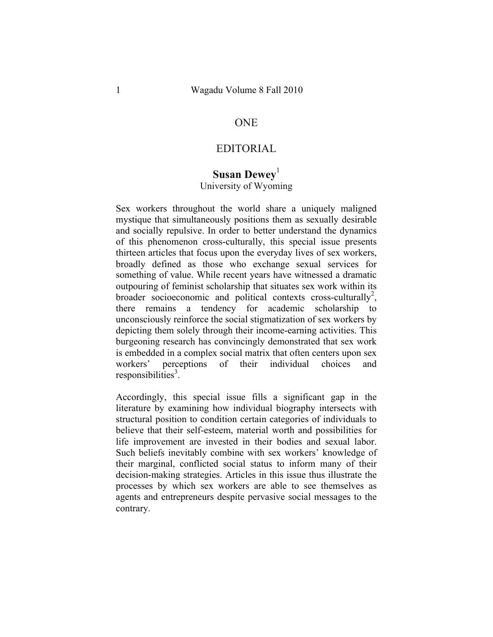### **ONE**

### EDITORIAL

# **Susan Dewey**<sup>1</sup>

## University of Wyoming

Sex workers throughout the world share a uniquely maligned mystique that simultaneously positions them as sexually desirable and socially repulsive. In order to better understand the dynamics of this phenomenon cross-culturally, this special issue presents thirteen articles that focus upon the everyday lives of sex workers, broadly defined as those who exchange sexual services for something of value. While recent years have witnessed a dramatic outpouring of feminist scholarship that situates sex work within its broader socioeconomic and political contexts cross-culturally<sup>2</sup>, there remains a tendency for academic scholarship to unconsciously reinforce the social stigmatization of sex workers by depicting them solely through their income-earning activities. This burgeoning research has convincingly demonstrated that sex work is embedded in a complex social matrix that often centers upon sex workers' perceptions of their individual choices and  $responsibleities<sup>3</sup>$ .

Accordingly, this special issue fills a significant gap in the literature by examining how individual biography intersects with structural position to condition certain categories of individuals to believe that their self-esteem, material worth and possibilities for life improvement are invested in their bodies and sexual labor. Such beliefs inevitably combine with sex workers' knowledge of their marginal, conflicted social status to inform many of their decision-making strategies. Articles in this issue thus illustrate the processes by which sex workers are able to see themselves as agents and entrepreneurs despite pervasive social messages to the contrary.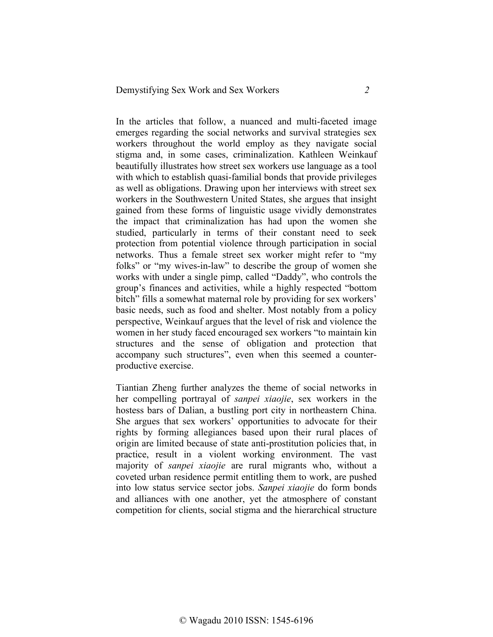In the articles that follow, a nuanced and multi-faceted image emerges regarding the social networks and survival strategies sex workers throughout the world employ as they navigate social stigma and, in some cases, criminalization. Kathleen Weinkauf beautifully illustrates how street sex workers use language as a tool with which to establish quasi-familial bonds that provide privileges as well as obligations. Drawing upon her interviews with street sex workers in the Southwestern United States, she argues that insight gained from these forms of linguistic usage vividly demonstrates the impact that criminalization has had upon the women she studied, particularly in terms of their constant need to seek protection from potential violence through participation in social networks. Thus a female street sex worker might refer to "my folks" or "my wives-in-law" to describe the group of women she works with under a single pimp, called "Daddy", who controls the group's finances and activities, while a highly respected "bottom bitch" fills a somewhat maternal role by providing for sex workers' basic needs, such as food and shelter. Most notably from a policy perspective, Weinkauf argues that the level of risk and violence the women in her study faced encouraged sex workers "to maintain kin structures and the sense of obligation and protection that accompany such structures", even when this seemed a counterproductive exercise.

Tiantian Zheng further analyzes the theme of social networks in her compelling portrayal of *sanpei xiaojie*, sex workers in the hostess bars of Dalian, a bustling port city in northeastern China. She argues that sex workers' opportunities to advocate for their rights by forming allegiances based upon their rural places of origin are limited because of state anti-prostitution policies that, in practice, result in a violent working environment. The vast majority of *sanpei xiaojie* are rural migrants who, without a coveted urban residence permit entitling them to work, are pushed into low status service sector jobs. *Sanpei xiaojie* do form bonds and alliances with one another, yet the atmosphere of constant competition for clients, social stigma and the hierarchical structure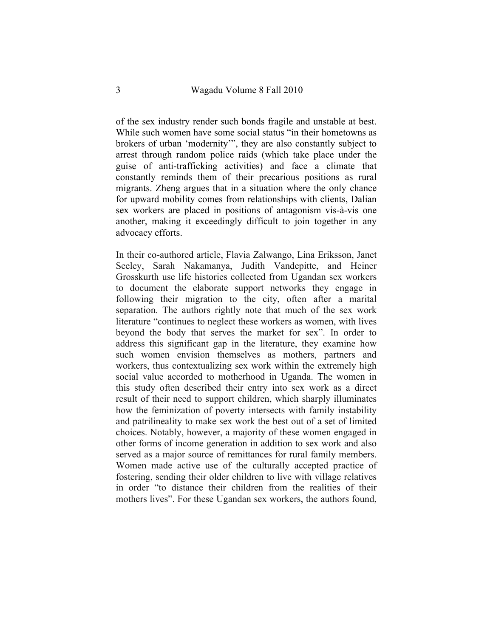of the sex industry render such bonds fragile and unstable at best. While such women have some social status "in their hometowns as brokers of urban 'modernity'", they are also constantly subject to arrest through random police raids (which take place under the guise of anti-trafficking activities) and face a climate that constantly reminds them of their precarious positions as rural migrants. Zheng argues that in a situation where the only chance for upward mobility comes from relationships with clients, Dalian sex workers are placed in positions of antagonism vis-à-vis one another, making it exceedingly difficult to join together in any advocacy efforts.

In their co-authored article, Flavia Zalwango, Lina Eriksson, Janet Seeley, Sarah Nakamanya, Judith Vandepitte, and Heiner Grosskurth use life histories collected from Ugandan sex workers to document the elaborate support networks they engage in following their migration to the city, often after a marital separation. The authors rightly note that much of the sex work literature "continues to neglect these workers as women, with lives beyond the body that serves the market for sex". In order to address this significant gap in the literature, they examine how such women envision themselves as mothers, partners and workers, thus contextualizing sex work within the extremely high social value accorded to motherhood in Uganda. The women in this study often described their entry into sex work as a direct result of their need to support children, which sharply illuminates how the feminization of poverty intersects with family instability and patrilineality to make sex work the best out of a set of limited choices. Notably, however, a majority of these women engaged in other forms of income generation in addition to sex work and also served as a major source of remittances for rural family members. Women made active use of the culturally accepted practice of fostering, sending their older children to live with village relatives in order "to distance their children from the realities of their mothers lives". For these Ugandan sex workers, the authors found,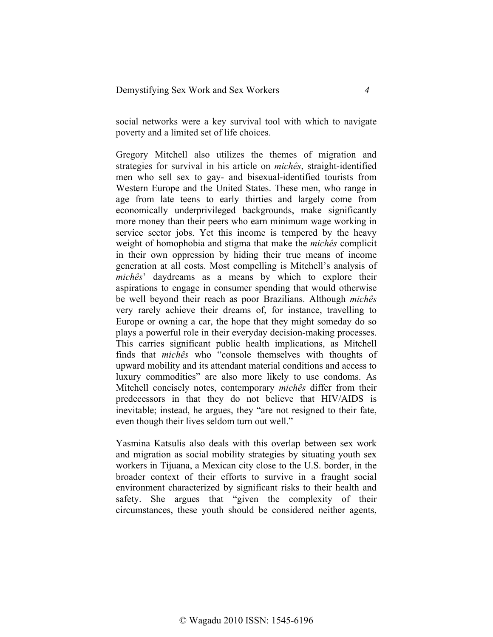social networks were a key survival tool with which to navigate poverty and a limited set of life choices.

Gregory Mitchell also utilizes the themes of migration and strategies for survival in his article on *michês*, straight-identified men who sell sex to gay- and bisexual-identified tourists from Western Europe and the United States. These men, who range in age from late teens to early thirties and largely come from economically underprivileged backgrounds, make significantly more money than their peers who earn minimum wage working in service sector jobs. Yet this income is tempered by the heavy weight of homophobia and stigma that make the *michês* complicit in their own oppression by hiding their true means of income generation at all costs. Most compelling is Mitchell's analysis of *michês*' daydreams as a means by which to explore their aspirations to engage in consumer spending that would otherwise be well beyond their reach as poor Brazilians. Although *michês* very rarely achieve their dreams of, for instance, travelling to Europe or owning a car, the hope that they might someday do so plays a powerful role in their everyday decision-making processes. This carries significant public health implications, as Mitchell finds that *michês* who "console themselves with thoughts of upward mobility and its attendant material conditions and access to luxury commodities" are also more likely to use condoms. As Mitchell concisely notes, contemporary *michês* differ from their predecessors in that they do not believe that HIV/AIDS is inevitable; instead, he argues, they "are not resigned to their fate, even though their lives seldom turn out well."

Yasmina Katsulis also deals with this overlap between sex work and migration as social mobility strategies by situating youth sex workers in Tijuana, a Mexican city close to the U.S. border, in the broader context of their efforts to survive in a fraught social environment characterized by significant risks to their health and safety. She argues that "given the complexity of their circumstances, these youth should be considered neither agents,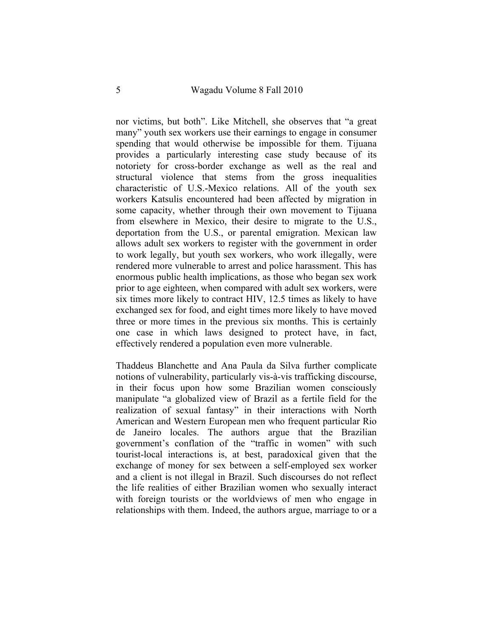nor victims, but both". Like Mitchell, she observes that "a great many" youth sex workers use their earnings to engage in consumer spending that would otherwise be impossible for them. Tijuana provides a particularly interesting case study because of its notoriety for cross-border exchange as well as the real and structural violence that stems from the gross inequalities characteristic of U.S.-Mexico relations. All of the youth sex workers Katsulis encountered had been affected by migration in some capacity, whether through their own movement to Tijuana from elsewhere in Mexico, their desire to migrate to the U.S., deportation from the U.S., or parental emigration. Mexican law allows adult sex workers to register with the government in order to work legally, but youth sex workers, who work illegally, were rendered more vulnerable to arrest and police harassment. This has enormous public health implications, as those who began sex work prior to age eighteen, when compared with adult sex workers, were six times more likely to contract HIV, 12.5 times as likely to have exchanged sex for food, and eight times more likely to have moved three or more times in the previous six months. This is certainly one case in which laws designed to protect have, in fact, effectively rendered a population even more vulnerable.

Thaddeus Blanchette and Ana Paula da Silva further complicate notions of vulnerability, particularly vis-à-vis trafficking discourse, in their focus upon how some Brazilian women consciously manipulate "a globalized view of Brazil as a fertile field for the realization of sexual fantasy" in their interactions with North American and Western European men who frequent particular Rio de Janeiro locales. The authors argue that the Brazilian government's conflation of the "traffic in women" with such tourist-local interactions is, at best, paradoxical given that the exchange of money for sex between a self-employed sex worker and a client is not illegal in Brazil. Such discourses do not reflect the life realities of either Brazilian women who sexually interact with foreign tourists or the worldviews of men who engage in relationships with them. Indeed, the authors argue, marriage to or a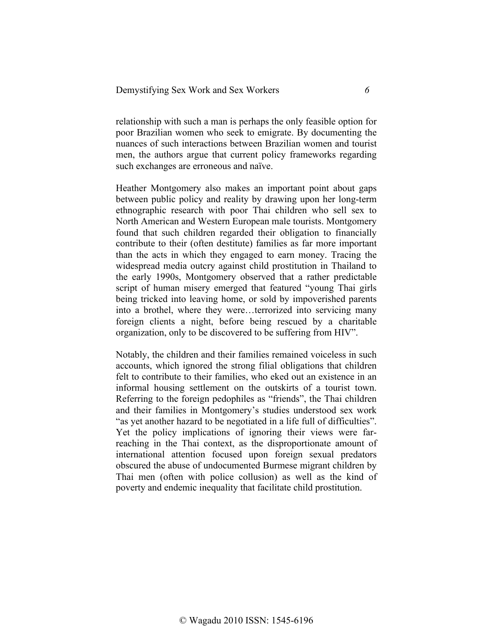relationship with such a man is perhaps the only feasible option for poor Brazilian women who seek to emigrate. By documenting the nuances of such interactions between Brazilian women and tourist men, the authors argue that current policy frameworks regarding such exchanges are erroneous and naïve.

Heather Montgomery also makes an important point about gaps between public policy and reality by drawing upon her long-term ethnographic research with poor Thai children who sell sex to North American and Western European male tourists. Montgomery found that such children regarded their obligation to financially contribute to their (often destitute) families as far more important than the acts in which they engaged to earn money. Tracing the widespread media outcry against child prostitution in Thailand to the early 1990s, Montgomery observed that a rather predictable script of human misery emerged that featured "young Thai girls being tricked into leaving home, or sold by impoverished parents into a brothel, where they were…terrorized into servicing many foreign clients a night, before being rescued by a charitable organization, only to be discovered to be suffering from HIV".

Notably, the children and their families remained voiceless in such accounts, which ignored the strong filial obligations that children felt to contribute to their families, who eked out an existence in an informal housing settlement on the outskirts of a tourist town. Referring to the foreign pedophiles as "friends", the Thai children and their families in Montgomery's studies understood sex work "as yet another hazard to be negotiated in a life full of difficulties". Yet the policy implications of ignoring their views were farreaching in the Thai context, as the disproportionate amount of international attention focused upon foreign sexual predators obscured the abuse of undocumented Burmese migrant children by Thai men (often with police collusion) as well as the kind of poverty and endemic inequality that facilitate child prostitution.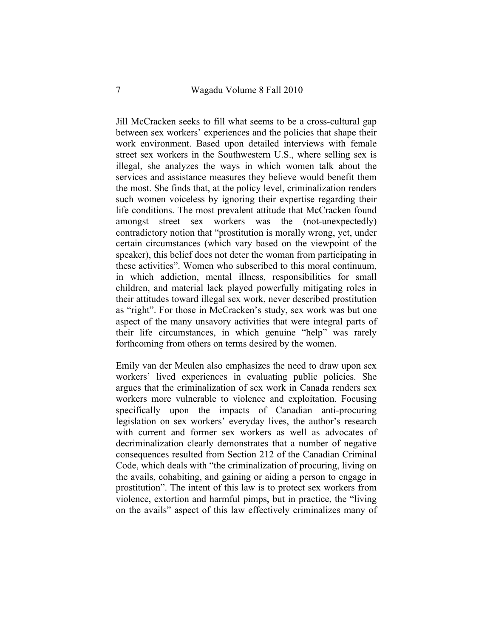Jill McCracken seeks to fill what seems to be a cross-cultural gap between sex workers' experiences and the policies that shape their work environment. Based upon detailed interviews with female street sex workers in the Southwestern U.S., where selling sex is illegal, she analyzes the ways in which women talk about the services and assistance measures they believe would benefit them the most. She finds that, at the policy level, criminalization renders such women voiceless by ignoring their expertise regarding their life conditions. The most prevalent attitude that McCracken found amongst street sex workers was the (not-unexpectedly) contradictory notion that "prostitution is morally wrong, yet, under certain circumstances (which vary based on the viewpoint of the speaker), this belief does not deter the woman from participating in these activities". Women who subscribed to this moral continuum, in which addiction, mental illness, responsibilities for small children, and material lack played powerfully mitigating roles in their attitudes toward illegal sex work, never described prostitution as "right". For those in McCracken's study, sex work was but one aspect of the many unsavory activities that were integral parts of their life circumstances, in which genuine "help" was rarely forthcoming from others on terms desired by the women.

Emily van der Meulen also emphasizes the need to draw upon sex workers' lived experiences in evaluating public policies. She argues that the criminalization of sex work in Canada renders sex workers more vulnerable to violence and exploitation. Focusing specifically upon the impacts of Canadian anti-procuring legislation on sex workers' everyday lives, the author's research with current and former sex workers as well as advocates of decriminalization clearly demonstrates that a number of negative consequences resulted from Section 212 of the Canadian Criminal Code, which deals with "the criminalization of procuring, living on the avails, cohabiting, and gaining or aiding a person to engage in prostitution". The intent of this law is to protect sex workers from violence, extortion and harmful pimps, but in practice, the "living on the avails" aspect of this law effectively criminalizes many of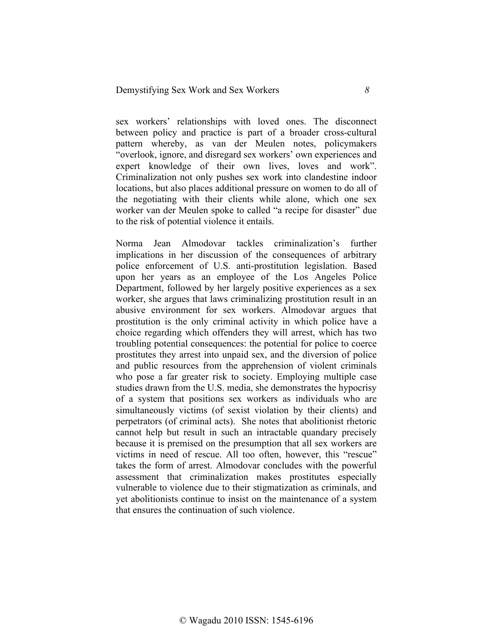sex workers' relationships with loved ones. The disconnect between policy and practice is part of a broader cross-cultural pattern whereby, as van der Meulen notes, policymakers "overlook, ignore, and disregard sex workers' own experiences and expert knowledge of their own lives, loves and work". Criminalization not only pushes sex work into clandestine indoor locations, but also places additional pressure on women to do all of the negotiating with their clients while alone, which one sex worker van der Meulen spoke to called "a recipe for disaster" due to the risk of potential violence it entails.

Norma Jean Almodovar tackles criminalization's further implications in her discussion of the consequences of arbitrary police enforcement of U.S. anti-prostitution legislation. Based upon her years as an employee of the Los Angeles Police Department, followed by her largely positive experiences as a sex worker, she argues that laws criminalizing prostitution result in an abusive environment for sex workers. Almodovar argues that prostitution is the only criminal activity in which police have a choice regarding which offenders they will arrest, which has two troubling potential consequences: the potential for police to coerce prostitutes they arrest into unpaid sex, and the diversion of police and public resources from the apprehension of violent criminals who pose a far greater risk to society. Employing multiple case studies drawn from the U.S. media, she demonstrates the hypocrisy of a system that positions sex workers as individuals who are simultaneously victims (of sexist violation by their clients) and perpetrators (of criminal acts). She notes that abolitionist rhetoric cannot help but result in such an intractable quandary precisely because it is premised on the presumption that all sex workers are victims in need of rescue. All too often, however, this "rescue" takes the form of arrest. Almodovar concludes with the powerful assessment that criminalization makes prostitutes especially vulnerable to violence due to their stigmatization as criminals, and yet abolitionists continue to insist on the maintenance of a system that ensures the continuation of such violence.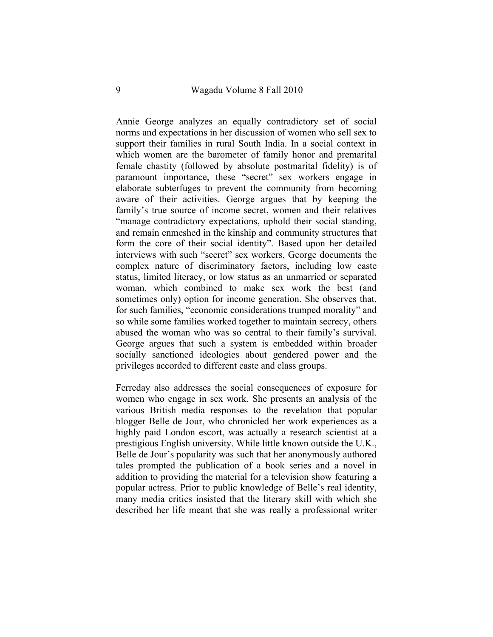Annie George analyzes an equally contradictory set of social norms and expectations in her discussion of women who sell sex to support their families in rural South India. In a social context in which women are the barometer of family honor and premarital female chastity (followed by absolute postmarital fidelity) is of paramount importance, these "secret" sex workers engage in elaborate subterfuges to prevent the community from becoming aware of their activities. George argues that by keeping the family's true source of income secret, women and their relatives "manage contradictory expectations, uphold their social standing, and remain enmeshed in the kinship and community structures that form the core of their social identity". Based upon her detailed interviews with such "secret" sex workers, George documents the complex nature of discriminatory factors, including low caste status, limited literacy, or low status as an unmarried or separated woman, which combined to make sex work the best (and sometimes only) option for income generation. She observes that, for such families, "economic considerations trumped morality" and so while some families worked together to maintain secrecy, others abused the woman who was so central to their family's survival. George argues that such a system is embedded within broader socially sanctioned ideologies about gendered power and the privileges accorded to different caste and class groups.

Ferreday also addresses the social consequences of exposure for women who engage in sex work. She presents an analysis of the various British media responses to the revelation that popular blogger Belle de Jour, who chronicled her work experiences as a highly paid London escort, was actually a research scientist at a prestigious English university. While little known outside the U.K., Belle de Jour's popularity was such that her anonymously authored tales prompted the publication of a book series and a novel in addition to providing the material for a television show featuring a popular actress. Prior to public knowledge of Belle's real identity, many media critics insisted that the literary skill with which she described her life meant that she was really a professional writer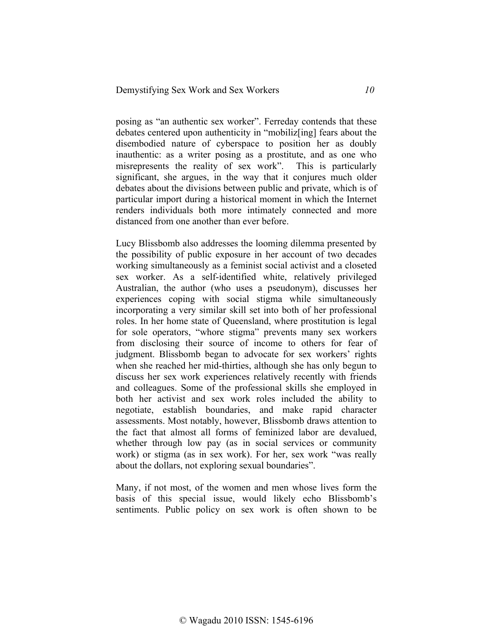posing as "an authentic sex worker". Ferreday contends that these debates centered upon authenticity in "mobiliz[ing] fears about the disembodied nature of cyberspace to position her as doubly inauthentic: as a writer posing as a prostitute, and as one who misrepresents the reality of sex work". This is particularly significant, she argues, in the way that it conjures much older debates about the divisions between public and private, which is of particular import during a historical moment in which the Internet renders individuals both more intimately connected and more distanced from one another than ever before.

Lucy Blissbomb also addresses the looming dilemma presented by the possibility of public exposure in her account of two decades working simultaneously as a feminist social activist and a closeted sex worker. As a self-identified white, relatively privileged Australian, the author (who uses a pseudonym), discusses her experiences coping with social stigma while simultaneously incorporating a very similar skill set into both of her professional roles. In her home state of Queensland, where prostitution is legal for sole operators, "whore stigma" prevents many sex workers from disclosing their source of income to others for fear of judgment. Blissbomb began to advocate for sex workers' rights when she reached her mid-thirties, although she has only begun to discuss her sex work experiences relatively recently with friends and colleagues. Some of the professional skills she employed in both her activist and sex work roles included the ability to negotiate, establish boundaries, and make rapid character assessments. Most notably, however, Blissbomb draws attention to the fact that almost all forms of feminized labor are devalued, whether through low pay (as in social services or community work) or stigma (as in sex work). For her, sex work "was really about the dollars, not exploring sexual boundaries".

Many, if not most, of the women and men whose lives form the basis of this special issue, would likely echo Blissbomb's sentiments. Public policy on sex work is often shown to be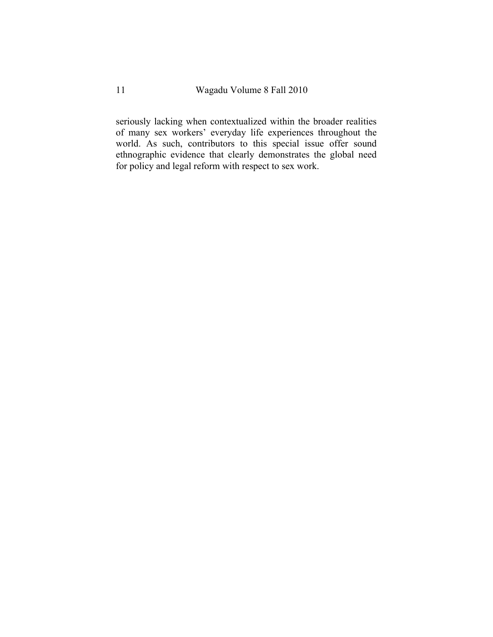seriously lacking when contextualized within the broader realities of many sex workers' everyday life experiences throughout the world. As such, contributors to this special issue offer sound ethnographic evidence that clearly demonstrates the global need for policy and legal reform with respect to sex work.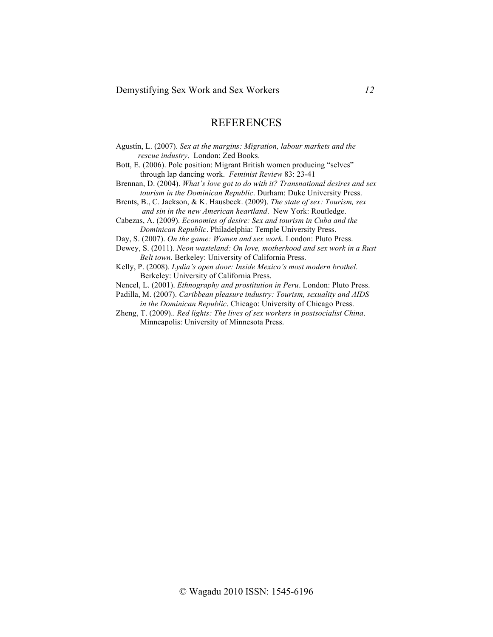## **REFERENCES**

Agustín, L. (2007). *Sex at the margins: Migration, labour markets and the rescue industry*. London: Zed Books.

Bott, E. (2006). Pole position: Migrant British women producing "selves" through lap dancing work. *Feminist Review* 83: 23-41

Brennan, D. (2004). *What's love got to do with it? Transnational desires and sex tourism in the Dominican Republic*. Durham: Duke University Press.

Brents, B., C. Jackson, & K. Hausbeck. (2009). *The state of sex: Tourism, sex and sin in the new American heartland*. New York: Routledge.

Cabezas, A. (2009). *Economies of desire: Sex and tourism in Cuba and the Dominican Republic*. Philadelphia: Temple University Press.

Day, S. (2007). *On the game: Women and sex work*. London: Pluto Press.

Dewey, S. (2011). *Neon wasteland: On love, motherhood and sex work in a Rust Belt town*. Berkeley: University of California Press.

Kelly, P. (2008). *Lydia's open door: Inside Mexico's most modern brothel*. Berkeley: University of California Press.

Nencel, L. (2001). *Ethnography and prostitution in Peru*. London: Pluto Press.

Padilla, M. (2007). *Caribbean pleasure industry: Tourism, sexuality and AIDS* 

 *in the Dominican Republic*. Chicago: University of Chicago Press.

Zheng, T. (2009).. *Red lights: The lives of sex workers in postsocialist China*. Minneapolis: University of Minnesota Press.